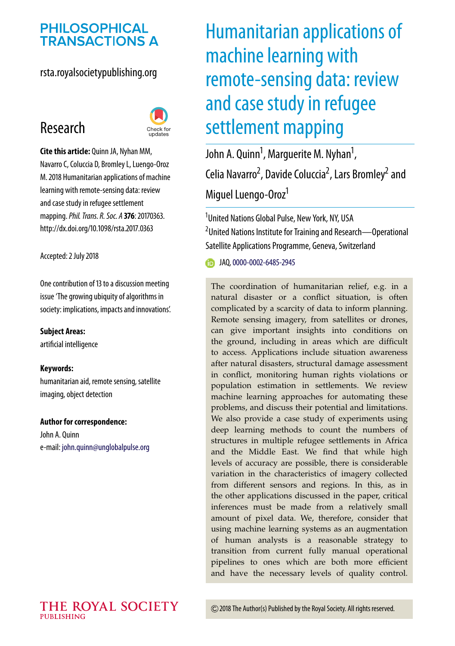# **PHILOSOPHICAL TRANSACTIONS A**

### rsta.royalsocietypublishing.org

# Research



**Cite this article:** Quinn JA, Nyhan MM, Navarro C, Coluccia D, Bromley L, Luengo-Oroz M. 2018 Humanitarian applications of machine learning with remote-sensing data: review and case study in refugee settlement mapping.Phil. Trans. R. Soc. A **376**: 20170363. http://dx.doi.org/10.1098/rsta.2017.0363

Accepted: 2 July 2018

One contribution of 13 to a discussion meeting issue 'The growing ubiquity of algorithms in [society: implications, impacts and innovations'.](http://dx.doi.org/10.1098/rsta/376/2128)

**Subject Areas:** artificial intelligence

# **Keywords:**

humanitarian aid, remote sensing, satellite imaging, object detection

#### **Author for correspondence:**

John A. Quinn e-mail: [john.quinn@unglobalpulse.org](mailto:john.quinn@unglobalpulse.org)

# Humanitarian applications of machine learning with remote-sensing data: review and case study in refugee settlement mapping

John A. Quinn<sup>1</sup>, Marguerite M. Nyhan<sup>1</sup> , Celia Navarro<sup>2</sup>, Davide Coluccia<sup>2</sup>, Lars Bromley<sup>2</sup> and Miguel Luengo-Oroz<sup>1</sup>

<sup>1</sup>United Nations Global Pulse, New York, NY, USA 2 United Nations Institute for Training and Research—Operational Satellite Applications Programme, Geneva, Switzerland

JAQ,[0000-0002-6485-2945](http://orcid.org/0000-0002-6485-2945)

The coordination of humanitarian relief, e.g. in a natural disaster or a conflict situation, is often complicated by a scarcity of data to inform planning. Remote sensing imagery, from satellites or drones, can give important insights into conditions on the ground, including in areas which are difficult to access. Applications include situation awareness after natural disasters, structural damage assessment in conflict, monitoring human rights violations or population estimation in settlements. We review machine learning approaches for automating these problems, and discuss their potential and limitations. We also provide a case study of experiments using deep learning methods to count the numbers of structures in multiple refugee settlements in Africa and the Middle East. We find that while high levels of accuracy are possible, there is considerable variation in the characteristics of imagery collected from different sensors and regions. In this, as in the other applications discussed in the paper, critical inferences must be made from a relatively small amount of pixel data. We, therefore, consider that using machine learning systems as an augmentation of human analysts is a reasonable strategy to transition from current fully manual operational pipelines to ones which are both more efficient and have the necessary levels of quality control.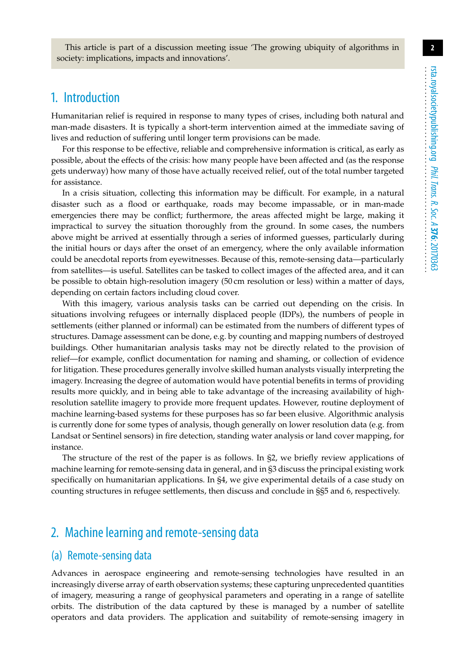This article is part of a discussion meeting issue 'The growing ubiquity of algorithms in society: implications, impacts and innovations'.

# 1. Introduction

Humanitarian relief is required in response to many types of crises, including both natural and man-made disasters. It is typically a short-term intervention aimed at the immediate saving of lives and reduction of suffering until longer term provisions can be made.

For this response to be effective, reliable and comprehensive information is critical, as early as possible, about the effects of the crisis: how many people have been affected and (as the response gets underway) how many of those have actually received relief, out of the total number targeted for assistance.

In a crisis situation, collecting this information may be difficult. For example, in a natural disaster such as a flood or earthquake, roads may become impassable, or in man-made emergencies there may be conflict; furthermore, the areas affected might be large, making it impractical to survey the situation thoroughly from the ground. In some cases, the numbers above might be arrived at essentially through a series of informed guesses, particularly during the initial hours or days after the onset of an emergency, where the only available information could be anecdotal reports from eyewitnesses. Because of this, remote-sensing data—particularly from satellites—is useful. Satellites can be tasked to collect images of the affected area, and it can be possible to obtain high-resolution imagery (50 cm resolution or less) within a matter of days, depending on certain factors including cloud cover.

With this imagery, various analysis tasks can be carried out depending on the crisis. In situations involving refugees or internally displaced people (IDPs), the numbers of people in settlements (either planned or informal) can be estimated from the numbers of different types of structures. Damage assessment can be done, e.g. by counting and mapping numbers of destroyed buildings. Other humanitarian analysis tasks may not be directly related to the provision of relief—for example, conflict documentation for naming and shaming, or collection of evidence for litigation. These procedures generally involve skilled human analysts visually interpreting the imagery. Increasing the degree of automation would have potential benefits in terms of providing results more quickly, and in being able to take advantage of the increasing availability of highresolution satellite imagery to provide more frequent updates. However, routine deployment of machine learning-based systems for these purposes has so far been elusive. Algorithmic analysis is currently done for some types of analysis, though generally on lower resolution data (e.g. from Landsat or Sentinel sensors) in fire detection, standing water analysis or land cover mapping, for instance.

The structure of the rest of the paper is as follows. In §2, we briefly review applications of machine learning for remote-sensing data in general, and in §3 discuss the principal existing work specifically on humanitarian applications. In §4, we give experimental details of a case study on counting structures in refugee settlements, then discuss and conclude in §§5 and 6, respectively.

# 2. Machine learning and remote-sensing data

#### (a) Remote-sensing data

Advances in aerospace engineering and remote-sensing technologies have resulted in an increasingly diverse array of earth observation systems; these capturing unprecedented quantities of imagery, measuring a range of geophysical parameters and operating in a range of satellite orbits. The distribution of the data captured by these is managed by a number of satellite operators and data providers. The application and suitability of remote-sensing imagery in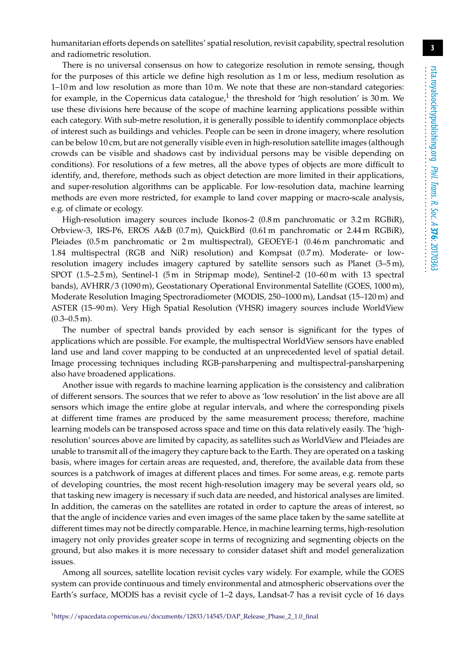humanitarian efforts depends on satellites' spatial resolution, revisit capability, spectral resolution and radiometric resolution.

There is no universal consensus on how to categorize resolution in remote sensing, though for the purposes of this article we define high resolution as 1 m or less, medium resolution as 1–10 m and low resolution as more than 10 m. We note that these are non-standard categories: for example, in the Copernicus data catalogue, $^1$  the threshold for 'high resolution' is 30 m. We use these divisions here because of the scope of machine learning applications possible within each category. With sub-metre resolution, it is generally possible to identify commonplace objects of interest such as buildings and vehicles. People can be seen in drone imagery, where resolution can be below 10 cm, but are not generally visible even in high-resolution satellite images (although crowds can be visible and shadows cast by individual persons may be visible depending on conditions). For resolutions of a few metres, all the above types of objects are more difficult to identify, and, therefore, methods such as object detection are more limited in their applications, and super-resolution algorithms can be applicable. For low-resolution data, machine learning methods are even more restricted, for example to land cover mapping or macro-scale analysis, e.g. of climate or ecology.

High-resolution imagery sources include Ikonos-2 (0.8 m panchromatic or 3.2 m RGBiR), Orbview-3, IRS-P6, EROS A&B (0.7 m), QuickBird (0.61 m panchromatic or 2.44 m RGBiR), Pleiades (0.5 m panchromatic or 2 m multispectral), GEOEYE-1 (0.46 m panchromatic and 1.84 multispectral (RGB and NiR) resolution) and Kompsat (0.7 m). Moderate- or lowresolution imagery includes imagery captured by satellite sensors such as Planet  $(3-5m)$ , SPOT (1.5–2.5 m), Sentinel-1 (5 m in Stripmap mode), Sentinel-2 (10–60 m with 13 spectral bands), AVHRR/3 (1090 m), Geostationary Operational Environmental Satellite (GOES, 1000 m), Moderate Resolution Imaging Spectroradiometer (MODIS, 250–1000 m), Landsat (15–120 m) and ASTER (15–90 m). Very High Spatial Resolution (VHSR) imagery sources include WorldView  $(0.3-0.5 \,\mathrm{m})$ .

The number of spectral bands provided by each sensor is significant for the types of applications which are possible. For example, the multispectral WorldView sensors have enabled land use and land cover mapping to be conducted at an unprecedented level of spatial detail. Image processing techniques including RGB-pansharpening and multispectral-pansharpening also have broadened applications.

Another issue with regards to machine learning application is the consistency and calibration of different sensors. The sources that we refer to above as 'low resolution' in the list above are all sensors which image the entire globe at regular intervals, and where the corresponding pixels at different time frames are produced by the same measurement process; therefore, machine learning models can be transposed across space and time on this data relatively easily. The 'highresolution' sources above are limited by capacity, as satellites such as WorldView and Pleiades are unable to transmit all of the imagery they capture back to the Earth. They are operated on a tasking basis, where images for certain areas are requested, and, therefore, the available data from these sources is a patchwork of images at different places and times. For some areas, e.g. remote parts of developing countries, the most recent high-resolution imagery may be several years old, so that tasking new imagery is necessary if such data are needed, and historical analyses are limited. In addition, the cameras on the satellites are rotated in order to capture the areas of interest, so that the angle of incidence varies and even images of the same place taken by the same satellite at different times may not be directly comparable. Hence, in machine learning terms, high-resolution imagery not only provides greater scope in terms of recognizing and segmenting objects on the ground, but also makes it is more necessary to consider dataset shift and model generalization issues.

Among all sources, satellite location revisit cycles vary widely. For example, while the GOES system can provide continuous and timely environmental and atmospheric observations over the Earth's surface, MODIS has a revisit cycle of 1–2 days, Landsat-7 has a revisit cycle of 16 days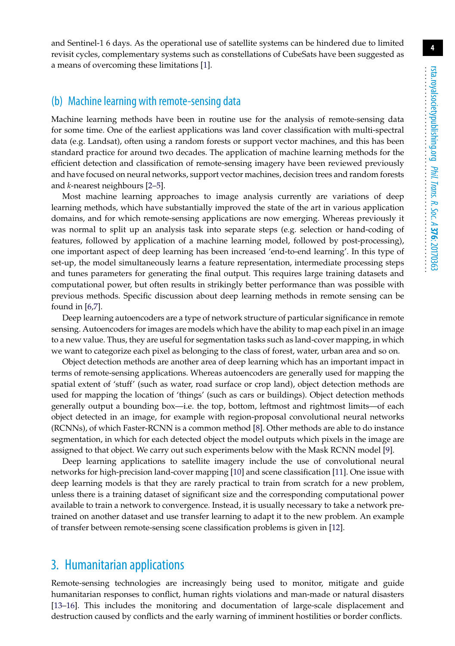and Sentinel-1 6 days. As the operational use of satellite systems can be hindered due to limited revisit cycles, complementary systems such as constellations of CubeSats have been suggested as a means of overcoming these limitations [\[1\]](#page-13-0).

#### (b) Machine learning with remote-sensing data

Machine learning methods have been in routine use for the analysis of remote-sensing data for some time. One of the earliest applications was land cover classification with multi-spectral data (e.g. Landsat), often using a random forests or support vector machines, and this has been standard practice for around two decades. The application of machine learning methods for the efficient detection and classification of remote-sensing imagery have been reviewed previously and have focused on neural networks, support vector machines, decision trees and random forests and *k*-nearest neighbours [\[2–](#page-13-1)[5\]](#page-13-2).

Most machine learning approaches to image analysis currently are variations of deep learning methods, which have substantially improved the state of the art in various application domains, and for which remote-sensing applications are now emerging. Whereas previously it was normal to split up an analysis task into separate steps (e.g. selection or hand-coding of features, followed by application of a machine learning model, followed by post-processing), one important aspect of deep learning has been increased 'end-to-end learning'. In this type of set-up, the model simultaneously learns a feature representation, intermediate processing steps and tunes parameters for generating the final output. This requires large training datasets and computational power, but often results in strikingly better performance than was possible with previous methods. Specific discussion about deep learning methods in remote sensing can be found in [\[6,](#page-13-3)[7\]](#page-13-4).

Deep learning autoencoders are a type of network structure of particular significance in remote sensing. Autoencoders for images are models which have the ability to map each pixel in an image to a new value. Thus, they are useful for segmentation tasks such as land-cover mapping, in which we want to categorize each pixel as belonging to the class of forest, water, urban area and so on.

Object detection methods are another area of deep learning which has an important impact in terms of remote-sensing applications. Whereas autoencoders are generally used for mapping the spatial extent of 'stuff' (such as water, road surface or crop land), object detection methods are used for mapping the location of 'things' (such as cars or buildings). Object detection methods generally output a bounding box—i.e. the top, bottom, leftmost and rightmost limits—of each object detected in an image, for example with region-proposal convolutional neural networks (RCNNs), of which Faster-RCNN is a common method [\[8\]](#page-14-0). Other methods are able to do instance segmentation, in which for each detected object the model outputs which pixels in the image are assigned to that object. We carry out such experiments below with the Mask RCNN model [\[9\]](#page-14-1).

Deep learning applications to satellite imagery include the use of convolutional neural networks for high-precision land-cover mapping [\[10\]](#page-14-2) and scene classification [\[11\]](#page-14-3). One issue with deep learning models is that they are rarely practical to train from scratch for a new problem, unless there is a training dataset of significant size and the corresponding computational power available to train a network to convergence. Instead, it is usually necessary to take a network pretrained on another dataset and use transfer learning to adapt it to the new problem. An example of transfer between remote-sensing scene classification problems is given in [\[12\]](#page-14-4).

#### 3. Humanitarian applications

Remote-sensing technologies are increasingly being used to monitor, mitigate and guide humanitarian responses to conflict, human rights violations and man-made or natural disasters [\[13](#page-14-5)[–16\]](#page-14-6). This includes the monitoring and documentation of large-scale displacement and destruction caused by conflicts and the early warning of imminent hostilities or border conflicts.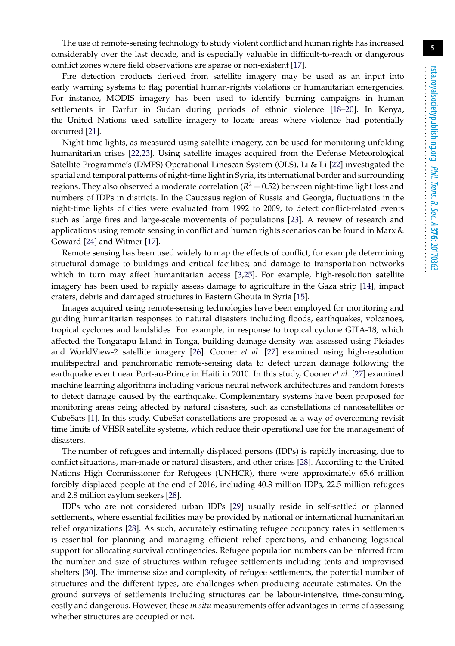The use of remote-sensing technology to study violent conflict and human rights has increased considerably over the last decade, and is especially valuable in difficult-to-reach or dangerous conflict zones where field observations are sparse or non-existent [\[17\]](#page-14-7).

Fire detection products derived from satellite imagery may be used as an input into early warning systems to flag potential human-rights violations or humanitarian emergencies. For instance, MODIS imagery has been used to identify burning campaigns in human settlements in Darfur in Sudan during periods of ethnic violence [\[18–](#page-14-8)[20\]](#page-14-9). In Kenya, the United Nations used satellite imagery to locate areas where violence had potentially occurred [\[21\]](#page-14-10).

Night-time lights, as measured using satellite imagery, can be used for monitoring unfolding humanitarian crises [\[22,](#page-14-11)[23\]](#page-14-12). Using satellite images acquired from the Defense Meteorological Satellite Programme's (DMPS) Operational Linescan System (OLS), Li & Li [\[22\]](#page-14-11) investigated the spatial and temporal patterns of night-time light in Syria, its international border and surrounding regions. They also observed a moderate correlation  $(R^2 = 0.52)$  between night-time light loss and numbers of IDPs in districts. In the Caucasus region of Russia and Georgia, fluctuations in the night-time lights of cities were evaluated from 1992 to 2009, to detect conflict-related events such as large fires and large-scale movements of populations [\[23\]](#page-14-12). A review of research and applications using remote sensing in conflict and human rights scenarios can be found in Marx & Goward [\[24\]](#page-14-13) and Witmer [\[17\]](#page-14-7).

Remote sensing has been used widely to map the effects of conflict, for example determining structural damage to buildings and critical facilities; and damage to transportation networks which in turn may affect humanitarian access [\[3,](#page-13-5)[25\]](#page-14-14). For example, high-resolution satellite imagery has been used to rapidly assess damage to agriculture in the Gaza strip [\[14\]](#page-14-15), impact craters, debris and damaged structures in Eastern Ghouta in Syria [\[15\]](#page-14-16).

Images acquired using remote-sensing technologies have been employed for monitoring and guiding humanitarian responses to natural disasters including floods, earthquakes, volcanoes, tropical cyclones and landslides. For example, in response to tropical cyclone GITA-18, which affected the Tongatapu Island in Tonga, building damage density was assessed using Pleiades and WorldView-2 satellite imagery [\[26\]](#page-14-17). Cooner *et al.* [\[27\]](#page-14-18) examined using high-resolution mulitspectral and panchromatic remote-sensing data to detect urban damage following the earthquake event near Port-au-Prince in Haiti in 2010. In this study, Cooner *et al.* [\[27\]](#page-14-18) examined machine learning algorithms including various neural network architectures and random forests to detect damage caused by the earthquake. Complementary systems have been proposed for monitoring areas being affected by natural disasters, such as constellations of nanosatellites or CubeSats [\[1\]](#page-13-0). In this study, CubeSat constellations are proposed as a way of overcoming revisit time limits of VHSR satellite systems, which reduce their operational use for the management of disasters.

The number of refugees and internally displaced persons (IDPs) is rapidly increasing, due to conflict situations, man-made or natural disasters, and other crises [\[28\]](#page-14-19). According to the United Nations High Commissioner for Refugees (UNHCR), there were approximately 65.6 million forcibly displaced people at the end of 2016, including 40.3 million IDPs, 22.5 million refugees and 2.8 million asylum seekers [\[28\]](#page-14-19).

IDPs who are not considered urban IDPs [\[29\]](#page-14-20) usually reside in self-settled or planned settlements, where essential facilities may be provided by national or international humanitarian relief organizations [\[28\]](#page-14-19). As such, accurately estimating refugee occupancy rates in settlements is essential for planning and managing efficient relief operations, and enhancing logistical support for allocating survival contingencies. Refugee population numbers can be inferred from the number and size of structures within refugee settlements including tents and improvised shelters [\[30\]](#page-14-21). The immense size and complexity of refugee settlements, the potential number of structures and the different types, are challenges when producing accurate estimates. On-theground surveys of settlements including structures can be labour-intensive, time-consuming, costly and dangerous. However, these *in situ* measurements offer advantages in terms of assessing whether structures are occupied or not.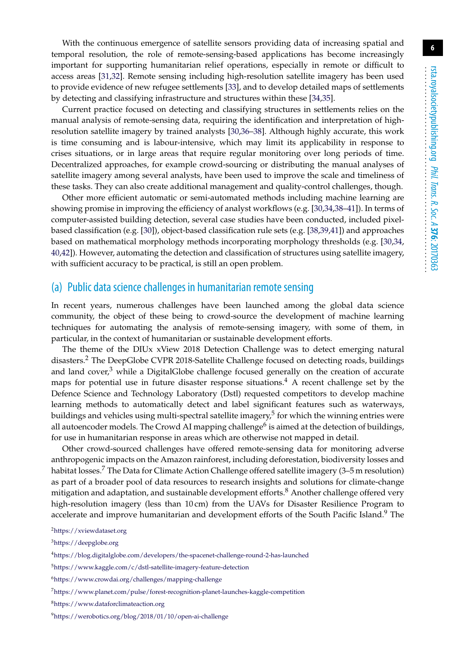With the continuous emergence of satellite sensors providing data of increasing spatial and temporal resolution, the role of remote-sensing-based applications has become increasingly important for supporting humanitarian relief operations, especially in remote or difficult to access areas [\[31,](#page-14-22)[32\]](#page-15-0). Remote sensing including high-resolution satellite imagery has been used to provide evidence of new refugee settlements [\[33\]](#page-15-1), and to develop detailed maps of settlements by detecting and classifying infrastructure and structures within these [\[34](#page-15-2)[,35\]](#page-15-3).

Current practice focused on detecting and classifying structures in settlements relies on the manual analysis of remote-sensing data, requiring the identification and interpretation of highresolution satellite imagery by trained analysts [\[30](#page-14-21)[,36](#page-15-4)[–38\]](#page-15-5). Although highly accurate, this work is time consuming and is labour-intensive, which may limit its applicability in response to crises situations, or in large areas that require regular monitoring over long periods of time. Decentralized approaches, for example crowd-sourcing or distributing the manual analyses of satellite imagery among several analysts, have been used to improve the scale and timeliness of these tasks. They can also create additional management and quality-control challenges, though.

Other more efficient automatic or semi-automated methods including machine learning are showing promise in improving the efficiency of analyst workflows (e.g. [\[30,](#page-14-21)[34,](#page-15-2)[38](#page-15-5)[–41\]](#page-15-6)). In terms of computer-assisted building detection, several case studies have been conducted, included pixelbased classification (e.g. [\[30\]](#page-14-21)), object-based classification rule sets (e.g. [\[38](#page-15-5)[,39](#page-15-7)[,41\]](#page-15-6)) and approaches based on mathematical morphology methods incorporating morphology thresholds (e.g. [\[30,](#page-14-21)[34,](#page-15-2) [40,](#page-15-8)[42\]](#page-15-9)). However, automating the detection and classification of structures using satellite imagery, with sufficient accuracy to be practical, is still an open problem.

#### (a) Public data science challenges in humanitarian remote sensing

In recent years, numerous challenges have been launched among the global data science community, the object of these being to crowd-source the development of machine learning techniques for automating the analysis of remote-sensing imagery, with some of them, in particular, in the context of humanitarian or sustainable development efforts.

The theme of the DIUx xView 2018 Detection Challenge was to detect emerging natural disasters.<sup>2</sup> The DeepGlobe CVPR 2018-Satellite Challenge focused on detecting roads, buildings and land cover, $3$  while a DigitalGlobe challenge focused generally on the creation of accurate maps for potential use in future disaster response situations.<sup>4</sup> A recent challenge set by the Defence Science and Technology Laboratory (Dstl) requested competitors to develop machine learning methods to automatically detect and label significant features such as waterways, buildings and vehicles using multi-spectral satellite imagery, $^5$  for which the winning entries were all autoencoder models. The Crowd AI mapping challenge<sup>6</sup> is aimed at the detection of buildings, for use in humanitarian response in areas which are otherwise not mapped in detail.

Other crowd-sourced challenges have offered remote-sensing data for monitoring adverse anthropogenic impacts on the Amazon rainforest, including deforestation, biodiversity losses and habitat losses.<sup>7</sup> The Data for Climate Action Challenge offered satellite imagery (3-5 m resolution) as part of a broader pool of data resources to research insights and solutions for climate-change mitigation and adaptation, and sustainable development efforts. $8$  Another challenge offered very high-resolution imagery (less than 10 cm) from the UAVs for Disaster Resilience Program to accelerate and improve humanitarian and development efforts of the South Pacific Island.<sup>9</sup> The

<sup>2</sup><https://xviewdataset.org>

<sup>3</sup><https://deepglobe.org>

<sup>4</sup><https://blog.digitalglobe.com/developers/the-spacenet-challenge-round-2-has-launched>

 $5$ <https://www.kaggle.com/c/dstl-satellite-imagery-feature-detection>

<sup>6</sup><https://www.crowdai.org/challenges/mapping-challenge>

<sup>7</sup><https://www.planet.com/pulse/forest-recognition-planet-launches-kaggle-competition>

<sup>8</sup><https://www.dataforclimateaction.org>

<sup>9</sup><https://werobotics.org/blog/2018/01/10/open-ai-challenge>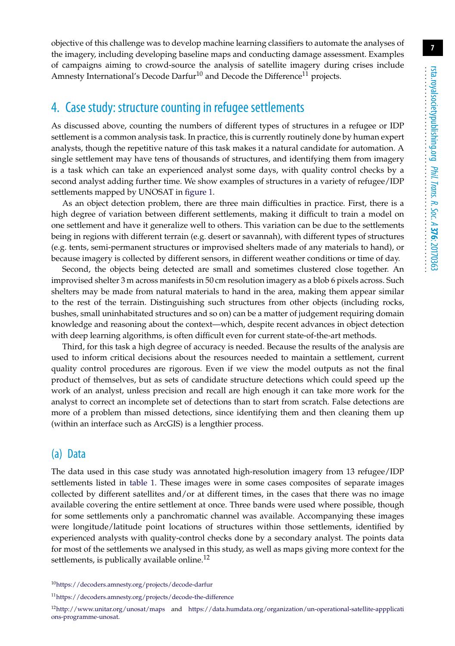objective of this challenge was to develop machine learning classifiers to automate the analyses of the imagery, including developing baseline maps and conducting damage assessment. Examples of campaigns aiming to crowd-source the analysis of satellite imagery during crises include Amnesty International's Decode Darfur<sup>10</sup> and Decode the Difference<sup>11</sup> projects.

## 4. Case study: structure counting in refugee settlements

As discussed above, counting the numbers of different types of structures in a refugee or IDP settlement is a common analysis task. In practice, this is currently routinely done by human expert analysts, though the repetitive nature of this task makes it a natural candidate for automation. A single settlement may have tens of thousands of structures, and identifying them from imagery is a task which can take an experienced analyst some days, with quality control checks by a second analyst adding further time. We show examples of structures in a variety of refugee/IDP settlements mapped by UNOSAT in [figure 1.](#page-7-0)

As an object detection problem, there are three main difficulties in practice. First, there is a high degree of variation between different settlements, making it difficult to train a model on one settlement and have it generalize well to others. This variation can be due to the settlements being in regions with different terrain (e.g. desert or savannah), with different types of structures (e.g. tents, semi-permanent structures or improvised shelters made of any materials to hand), or because imagery is collected by different sensors, in different weather conditions or time of day.

Second, the objects being detected are small and sometimes clustered close together. An improvised shelter 3 m across manifests in 50 cm resolution imagery as a blob 6 pixels across. Such shelters may be made from natural materials to hand in the area, making them appear similar to the rest of the terrain. Distinguishing such structures from other objects (including rocks, bushes, small uninhabitated structures and so on) can be a matter of judgement requiring domain knowledge and reasoning about the context—which, despite recent advances in object detection with deep learning algorithms, is often difficult even for current state-of-the-art methods.

Third, for this task a high degree of accuracy is needed. Because the results of the analysis are used to inform critical decisions about the resources needed to maintain a settlement, current quality control procedures are rigorous. Even if we view the model outputs as not the final product of themselves, but as sets of candidate structure detections which could speed up the work of an analyst, unless precision and recall are high enough it can take more work for the analyst to correct an incomplete set of detections than to start from scratch. False detections are more of a problem than missed detections, since identifying them and then cleaning them up (within an interface such as ArcGIS) is a lengthier process.

#### (a) Data

The data used in this case study was annotated high-resolution imagery from 13 refugee/IDP settlements listed in [table 1.](#page-7-1) These images were in some cases composites of separate images collected by different satellites and/or at different times, in the cases that there was no image available covering the entire settlement at once. Three bands were used where possible, though for some settlements only a panchromatic channel was available. Accompanying these images were longitude/latitude point locations of structures within those settlements, identified by experienced analysts with quality-control checks done by a secondary analyst. The points data for most of the settlements we analysed in this study, as well as maps giving more context for the settlements, is publically available online.<sup>12</sup>

<sup>10</sup><https://decoders.amnesty.org/projects/decode-darfur>

<sup>11</sup><https://decoders.amnesty.org/projects/decode-the-difference>

<sup>12</sup><http://www.unitar.org/unosat/maps> and [https://data.humdata.org/organization/un-operational-satellite-appplicati](https://data.humdata.org/organization/un-operational-satellite-appplications-programme-unosat) [ons-programme-unosat.](https://data.humdata.org/organization/un-operational-satellite-appplications-programme-unosat)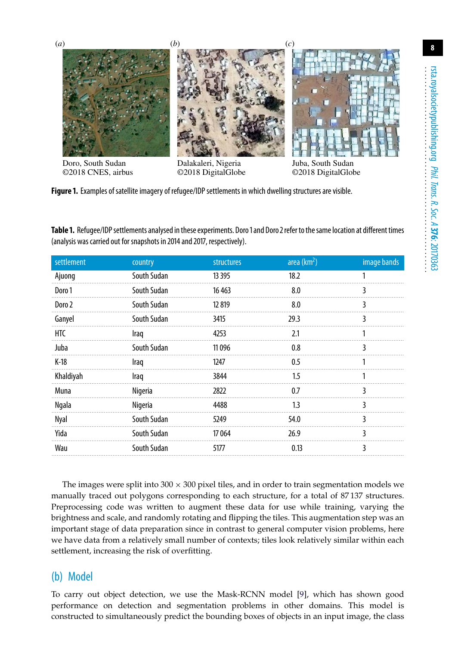

Doro, South Sudan ©2018 CNES, airbus

Dalakaleri, Nigeria ©2018 DigitalGlobe

Juba, South Sudan ©2018 DigitalGlobe

<span id="page-7-0"></span>**Figure 1.** Examples of satellite imagery of refugee/IDP settlements in which dwelling structures are visible.

<span id="page-7-1"></span>Table 1. Refugee/IDP settlements analysed in these experiments. Doro 1 and Doro 2 refer to the same location at different times (analysis was carried out for snapshots in 2014 and 2017, respectively).

| settlement  | country     | structures | area ( $km2$ ) | image bands |
|-------------|-------------|------------|----------------|-------------|
| Ajuong      | South Sudan | 13 3 95    | 18.2           | 1           |
| Doro 1      | South Sudan | 16 4 63    | 8.0            | 3           |
| Doro 2      | South Sudan | 12 819     | 8.0            | 3           |
| Ganyel      | South Sudan | 3415       | 29.3           | 3           |
| HTC         | Iraq        | 4253       | 2.1            |             |
| Juba        | South Sudan | 11096      | 0.8            | 3           |
| K-18        | Iraq        | 1247       | 0.5            | 1           |
| Khaldiyah   | Iraq        | 3844       | 1.5            | 1           |
| Muna        | Nigeria     | 2822       | 0.7            | 3           |
| Ngala       | Nigeria     | 4488       | 1.3            | 3           |
| <b>Nyal</b> | South Sudan | 5249       | 54.0           | 3           |
| Yida        | South Sudan | 17064      | 26.9           | 3           |
| Wau         | South Sudan | 5177       | 0.13           | 3           |

The images were split into  $300 \times 300$  pixel tiles, and in order to train segmentation models we manually traced out polygons corresponding to each structure, for a total of 87 137 structures. Preprocessing code was written to augment these data for use while training, varying the brightness and scale, and randomly rotating and flipping the tiles. This augmentation step was an important stage of data preparation since in contrast to general computer vision problems, here we have data from a relatively small number of contexts; tiles look relatively similar within each settlement, increasing the risk of overfitting.

#### (b) Model

To carry out object detection, we use the Mask-RCNN model [\[9\]](#page-14-1), which has shown good performance on detection and segmentation problems in other domains. This model is constructed to simultaneously predict the bounding boxes of objects in an input image, the class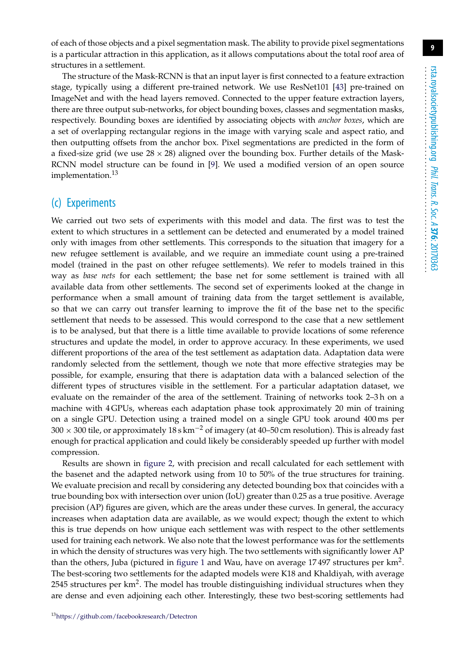of each of those objects and a pixel segmentation mask. The ability to provide pixel segmentations is a particular attraction in this application, as it allows computations about the total roof area of structures in a settlement.

The structure of the Mask-RCNN is that an input layer is first connected to a feature extraction stage, typically using a different pre-trained network. We use ResNet101 [\[43\]](#page-15-10) pre-trained on ImageNet and with the head layers removed. Connected to the upper feature extraction layers, there are three output sub-networks, for object bounding boxes, classes and segmentation masks, respectively. Bounding boxes are identified by associating objects with *anchor boxes*, which are a set of overlapping rectangular regions in the image with varying scale and aspect ratio, and then outputting offsets from the anchor box. Pixel segmentations are predicted in the form of a fixed-size grid (we use  $28 \times 28$ ) aligned over the bounding box. Further details of the Mask-RCNN model structure can be found in [\[9\]](#page-14-1). We used a modified version of an open source implementation.<sup>13</sup>

#### (c) Experiments

We carried out two sets of experiments with this model and data. The first was to test the extent to which structures in a settlement can be detected and enumerated by a model trained only with images from other settlements. This corresponds to the situation that imagery for a new refugee settlement is available, and we require an immediate count using a pre-trained model (trained in the past on other refugee settlements). We refer to models trained in this way as *base nets* for each settlement; the base net for some settlement is trained with all available data from other settlements. The second set of experiments looked at the change in performance when a small amount of training data from the target settlement is available, so that we can carry out transfer learning to improve the fit of the base net to the specific settlement that needs to be assessed. This would correspond to the case that a new settlement is to be analysed, but that there is a little time available to provide locations of some reference structures and update the model, in order to approve accuracy. In these experiments, we used different proportions of the area of the test settlement as adaptation data. Adaptation data were randomly selected from the settlement, though we note that more effective strategies may be possible, for example, ensuring that there is adaptation data with a balanced selection of the different types of structures visible in the settlement. For a particular adaptation dataset, we evaluate on the remainder of the area of the settlement. Training of networks took 2–3 h on a machine with 4 GPUs, whereas each adaptation phase took approximately 20 min of training on a single GPU. Detection using a trained model on a single GPU took around 400 ms per 300 × 300 tile, or approximately 18 s km−<sup>2</sup> of imagery (at 40–50 cm resolution). This is already fast enough for practical application and could likely be considerably speeded up further with model compression.

Results are shown in [figure 2,](#page-9-0) with precision and recall calculated for each settlement with the basenet and the adapted network using from 10 to 50% of the true structures for training. We evaluate precision and recall by considering any detected bounding box that coincides with a true bounding box with intersection over union (IoU) greater than 0.25 as a true positive. Average precision (AP) figures are given, which are the areas under these curves. In general, the accuracy increases when adaptation data are available, as we would expect; though the extent to which this is true depends on how unique each settlement was with respect to the other settlements used for training each network. We also note that the lowest performance was for the settlements in which the density of structures was very high. The two settlements with significantly lower AP than the others, Juba (pictured in [figure 1](#page-7-0) and Wau, have on average 17497 structures per km<sup>2</sup>. The best-scoring two settlements for the adapted models were K18 and Khaldiyah, with average 2545 structures per km<sup>2</sup>. The model has trouble distinguishing individual structures when they are dense and even adjoining each other. Interestingly, these two best-scoring settlements had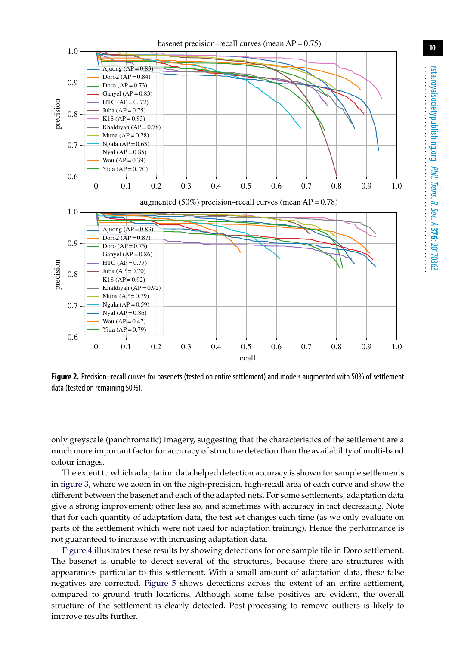

<span id="page-9-0"></span>**Figure 2.** Precision–recall curves for basenets (tested on entire settlement) and models augmented with 50% of settlement data (tested on remaining 50%).

only greyscale (panchromatic) imagery, suggesting that the characteristics of the settlement are a much more important factor for accuracy of structure detection than the availability of multi-band colour images.

The extent to which adaptation data helped detection accuracy is shown for sample settlements in [figure 3,](#page-10-0) where we zoom in on the high-precision, high-recall area of each curve and show the different between the basenet and each of the adapted nets. For some settlements, adaptation data give a strong improvement; other less so, and sometimes with accuracy in fact decreasing. Note that for each quantity of adaptation data, the test set changes each time (as we only evaluate on parts of the settlement which were not used for adaptation training). Hence the performance is not guaranteed to increase with increasing adaptation data.

[Figure 4](#page-10-1) illustrates these results by showing detections for one sample tile in Doro settlement. The basenet is unable to detect several of the structures, because there are structures with appearances particular to this settlement. With a small amount of adaptation data, these false negatives are corrected. [Figure 5](#page-10-2) shows detections across the extent of an entire settlement, compared to ground truth locations. Although some false positives are evident, the overall structure of the settlement is clearly detected. Post-processing to remove outliers is likely to improve results further.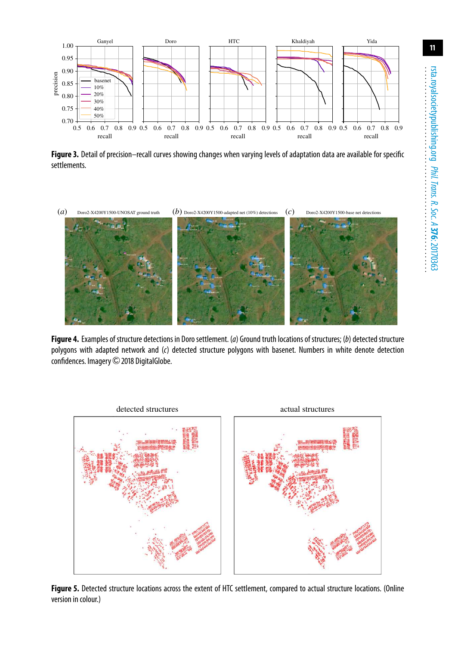

<span id="page-10-0"></span>**Figure 3.** Detail of precision–recall curves showing changes when varying levels of adaptation data are available for specific settlements.



<span id="page-10-1"></span>Figure 4. Examples of structure detections in Doro settlement. (a) Ground truth locations of structures; (b) detected structure polygons with adapted network and (c) detected structure polygons with basenet. Numbers in white denote detection confidences. Imagery © 2018 DigitalGlobe.



<span id="page-10-2"></span>**Figure 5.** Detected structure locations across the extent of HTC settlement, compared to actual structure locations. (Online version in colour.)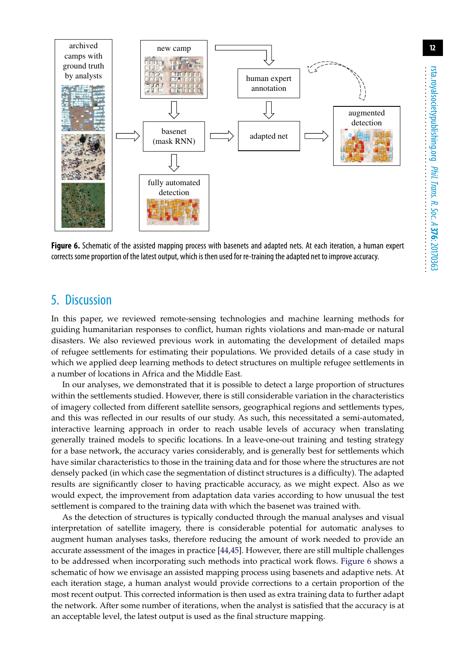

<span id="page-11-0"></span>**Figure 6.** Schematic of the assisted mapping process with basenets and adapted nets. At each iteration, a human expert corrects some proportion of the latest output, which is then used for re-training the adapted net to improve accuracy.

# 5. Discussion

In this paper, we reviewed remote-sensing technologies and machine learning methods for guiding humanitarian responses to conflict, human rights violations and man-made or natural disasters. We also reviewed previous work in automating the development of detailed maps of refugee settlements for estimating their populations. We provided details of a case study in which we applied deep learning methods to detect structures on multiple refugee settlements in a number of locations in Africa and the Middle East.

In our analyses, we demonstrated that it is possible to detect a large proportion of structures within the settlements studied. However, there is still considerable variation in the characteristics of imagery collected from different satellite sensors, geographical regions and settlements types, and this was reflected in our results of our study. As such, this necessitated a semi-automated, interactive learning approach in order to reach usable levels of accuracy when translating generally trained models to specific locations. In a leave-one-out training and testing strategy for a base network, the accuracy varies considerably, and is generally best for settlements which have similar characteristics to those in the training data and for those where the structures are not densely packed (in which case the segmentation of distinct structures is a difficulty). The adapted results are significantly closer to having practicable accuracy, as we might expect. Also as we would expect, the improvement from adaptation data varies according to how unusual the test settlement is compared to the training data with which the basenet was trained with.

As the detection of structures is typically conducted through the manual analyses and visual interpretation of satellite imagery, there is considerable potential for automatic analyses to augment human analyses tasks, therefore reducing the amount of work needed to provide an accurate assessment of the images in practice [\[44,](#page-15-11)[45\]](#page-15-12). However, there are still multiple challenges to be addressed when incorporating such methods into practical work flows. [Figure 6](#page-11-0) shows a schematic of how we envisage an assisted mapping process using basenets and adaptive nets. At each iteration stage, a human analyst would provide corrections to a certain proportion of the most recent output. This corrected information is then used as extra training data to further adapt the network. After some number of iterations, when the analyst is satisfied that the accuracy is at an acceptable level, the latest output is used as the final structure mapping.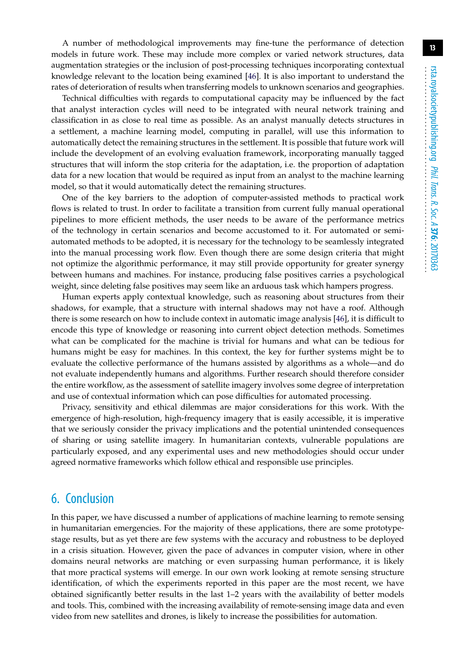A number of methodological improvements may fine-tune the performance of detection models in future work. These may include more complex or varied network structures, data augmentation strategies or the inclusion of post-processing techniques incorporating contextual knowledge relevant to the location being examined [\[46\]](#page-15-13). It is also important to understand the rates of deterioration of results when transferring models to unknown scenarios and geographies.

Technical difficulties with regards to computational capacity may be influenced by the fact that analyst interaction cycles will need to be integrated with neural network training and classification in as close to real time as possible. As an analyst manually detects structures in a settlement, a machine learning model, computing in parallel, will use this information to automatically detect the remaining structures in the settlement. It is possible that future work will include the development of an evolving evaluation framework, incorporating manually tagged structures that will inform the stop criteria for the adaptation, i.e. the proportion of adaptation data for a new location that would be required as input from an analyst to the machine learning model, so that it would automatically detect the remaining structures.

One of the key barriers to the adoption of computer-assisted methods to practical work flows is related to trust. In order to facilitate a transition from current fully manual operational pipelines to more efficient methods, the user needs to be aware of the performance metrics of the technology in certain scenarios and become accustomed to it. For automated or semiautomated methods to be adopted, it is necessary for the technology to be seamlessly integrated into the manual processing work flow. Even though there are some design criteria that might not optimize the algorithmic performance, it may still provide opportunity for greater synergy between humans and machines. For instance, producing false positives carries a psychological weight, since deleting false positives may seem like an arduous task which hampers progress.

Human experts apply contextual knowledge, such as reasoning about structures from their shadows, for example, that a structure with internal shadows may not have a roof. Although there is some research on how to include context in automatic image analysis [\[46\]](#page-15-13), it is difficult to encode this type of knowledge or reasoning into current object detection methods. Sometimes what can be complicated for the machine is trivial for humans and what can be tedious for humans might be easy for machines. In this context, the key for further systems might be to evaluate the collective performance of the humans assisted by algorithms as a whole—and do not evaluate independently humans and algorithms. Further research should therefore consider the entire workflow, as the assessment of satellite imagery involves some degree of interpretation and use of contextual information which can pose difficulties for automated processing.

Privacy, sensitivity and ethical dilemmas are major considerations for this work. With the emergence of high-resolution, high-frequency imagery that is easily accessible, it is imperative that we seriously consider the privacy implications and the potential unintended consequences of sharing or using satellite imagery. In humanitarian contexts, vulnerable populations are particularly exposed, and any experimental uses and new methodologies should occur under agreed normative frameworks which follow ethical and responsible use principles.

# 6. Conclusion

In this paper, we have discussed a number of applications of machine learning to remote sensing in humanitarian emergencies. For the majority of these applications, there are some prototypestage results, but as yet there are few systems with the accuracy and robustness to be deployed in a crisis situation. However, given the pace of advances in computer vision, where in other domains neural networks are matching or even surpassing human performance, it is likely that more practical systems will emerge. In our own work looking at remote sensing structure identification, of which the experiments reported in this paper are the most recent, we have obtained significantly better results in the last 1–2 years with the availability of better models and tools. This, combined with the increasing availability of remote-sensing image data and even video from new satellites and drones, is likely to increase the possibilities for automation.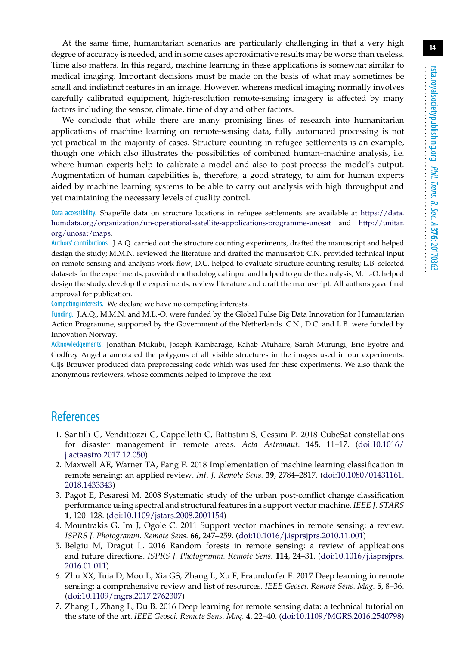At the same time, humanitarian scenarios are particularly challenging in that a very high degree of accuracy is needed, and in some cases approximative results may be worse than useless. Time also matters. In this regard, machine learning in these applications is somewhat similar to medical imaging. Important decisions must be made on the basis of what may sometimes be small and indistinct features in an image. However, whereas medical imaging normally involves carefully calibrated equipment, high-resolution remote-sensing imagery is affected by many factors including the sensor, climate, time of day and other factors.

We conclude that while there are many promising lines of research into humanitarian applications of machine learning on remote-sensing data, fully automated processing is not yet practical in the majority of cases. Structure counting in refugee settlements is an example, though one which also illustrates the possibilities of combined human–machine analysis, i.e. where human experts help to calibrate a model and also to post-process the model's output. Augmentation of human capabilities is, therefore, a good strategy, to aim for human experts aided by machine learning systems to be able to carry out analysis with high throughput and yet maintaining the necessary levels of quality control.

Data accessibility. Shapefile data on structure locations in refugee settlements are available at [https://data.](https://data.humdata.org/organization/un-operational-satellite-appplications-programme-unosat) [humdata.org/organization/un-operational-satellite-appplications-programme-unosat](https://data.humdata.org/organization/un-operational-satellite-appplications-programme-unosat) and [http://unitar.](http://unitar.org/unosat/maps) [org/unosat/maps.](http://unitar.org/unosat/maps)

Authors' contributions. J.A.Q. carried out the structure counting experiments, drafted the manuscript and helped design the study; M.M.N. reviewed the literature and drafted the manuscript; C.N. provided technical input on remote sensing and analysis work flow; D.C. helped to evaluate structure counting results; L.B. selected datasets for the experiments, provided methodological input and helped to guide the analysis; M.L.-O. helped design the study, develop the experiments, review literature and draft the manuscript. All authors gave final approval for publication.

Competing interests. We declare we have no competing interests.

Funding. J.A.Q., M.M.N. and M.L.-O. were funded by the Global Pulse Big Data Innovation for Humanitarian Action Programme, supported by the Government of the Netherlands. C.N., D.C. and L.B. were funded by Innovation Norway.

Acknowledgements. Jonathan Mukiibi, Joseph Kambarage, Rahab Atuhaire, Sarah Murungi, Eric Eyotre and Godfrey Angella annotated the polygons of all visible structures in the images used in our experiments. Gijs Brouwer produced data preprocessing code which was used for these experiments. We also thank the anonymous reviewers, whose comments helped to improve the text.

# <span id="page-13-0"></span>**References**

- 1. Santilli G, Vendittozzi C, Cappelletti C, Battistini S, Gessini P. 2018 CubeSat constellations for disaster management in remote areas. *Acta Astronaut.* **145**, 11–17. [\(doi:10.1016/](http://dx.doi.org/doi:10.1016/j.actaastro.2017.12.050) [j.actaastro.2017.12.050\)](http://dx.doi.org/doi:10.1016/j.actaastro.2017.12.050)
- <span id="page-13-1"></span>2. Maxwell AE, Warner TA, Fang F. 2018 Implementation of machine learning classification in remote sensing: an applied review. *Int. J. Remote Sens.* **39**, 2784–2817. [\(doi:10.1080/01431161.](http://dx.doi.org/doi:10.1080/01431161.2018.1433343) [2018.1433343\)](http://dx.doi.org/doi:10.1080/01431161.2018.1433343)
- <span id="page-13-5"></span>3. Pagot E, Pesaresi M. 2008 Systematic study of the urban post-conflict change classification performance using spectral and structural features in a support vector machine. *IEEE J. STARS* **1**, 120–128. [\(doi:10.1109/jstars.2008.2001154\)](http://dx.doi.org/doi:10.1109/jstars.2008.2001154)
- 4. Mountrakis G, Im J, Ogole C. 2011 Support vector machines in remote sensing: a review. *ISPRS J. Photogramm. Remote Sens.* **66**, 247–259. [\(doi:10.1016/j.isprsjprs.2010.11.001\)](http://dx.doi.org/doi:10.1016/j.isprsjprs.2010.11.001)
- <span id="page-13-2"></span>5. Belgiu M, Dragut L. 2016 Random forests in remote sensing: a review of applications and future directions. *ISPRS J. Photogramm. Remote Sens.* **114**, 24–31. [\(doi:10.1016/j.isprsjprs.](http://dx.doi.org/doi:10.1016/j.isprsjprs.2016.01.011) [2016.01.011\)](http://dx.doi.org/doi:10.1016/j.isprsjprs.2016.01.011)
- <span id="page-13-3"></span>6. Zhu XX, Tuia D, Mou L, Xia GS, Zhang L, Xu F, Fraundorfer F. 2017 Deep learning in remote sensing: a comprehensive review and list of resources. *IEEE Geosci. Remote Sens. Mag.* **5**, 8–36. [\(doi:10.1109/mgrs.2017.2762307\)](http://dx.doi.org/doi:10.1109/mgrs.2017.2762307)
- <span id="page-13-4"></span>7. Zhang L, Zhang L, Du B. 2016 Deep learning for remote sensing data: a technical tutorial on the state of the art. *IEEE Geosci. Remote Sens. Mag.* **4**, 22–40. [\(doi:10.1109/MGRS.2016.2540798\)](http://dx.doi.org/doi:10.1109/MGRS.2016.2540798)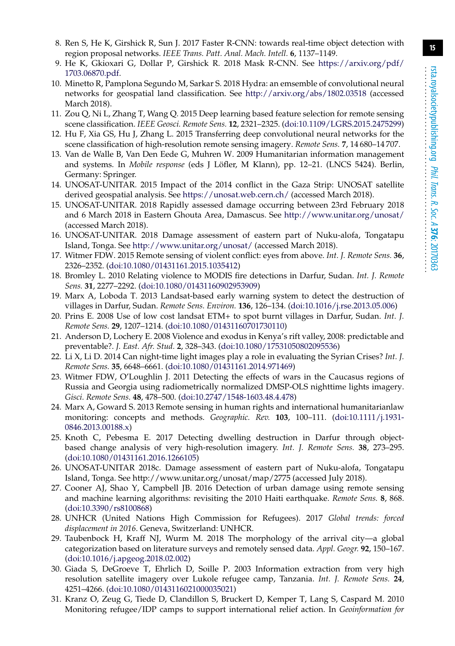- <span id="page-14-0"></span>8. Ren S, He K, Girshick R, Sun J. 2017 Faster R-CNN: towards real-time object detection with region proposal networks. *IEEE Trans. Patt. Anal. Mach. Intell.* **6**, 1137–1149.
- <span id="page-14-1"></span>9. He K, Gkioxari G, Dollar P, Girshick R. 2018 Mask R-CNN. See [https://arxiv.org/pdf/](https://arxiv.org/pdf/1703.06870.pdf) [1703.06870.pdf.](https://arxiv.org/pdf/1703.06870.pdf)
- <span id="page-14-2"></span>10. Minetto R, Pamplona Segundo M, Sarkar S. 2018 Hydra: an emsemble of convolutional neural networks for geospatial land classification. See <http://arxiv.org/abs/1802.03518> (accessed March 2018).
- <span id="page-14-3"></span>11. Zou Q, Ni L, Zhang T, Wang Q. 2015 Deep learning based feature selection for remote sensing scene classification. *IEEE Geosci. Remote Sens.* **12**, 2321–2325. [\(doi:10.1109/LGRS.2015.2475299\)](http://dx.doi.org/doi:10.1109/LGRS.2015.2475299)
- <span id="page-14-4"></span>12. Hu F, Xia GS, Hu J, Zhang L. 2015 Transferring deep convolutional neural networks for the scene classification of high-resolution remote sensing imagery. *Remote Sens.* **7**, 14 680–14 707.
- <span id="page-14-5"></span>13. Van de Walle B, Van Den Eede G, Muhren W. 2009 Humanitarian information management and systems. In *Mobile response* (eds J Löfler, M Klann), pp. 12–21. (LNCS 5424). Berlin, Germany: Springer.
- <span id="page-14-15"></span>14. UNOSAT-UNITAR. 2015 Impact of the 2014 conflict in the Gaza Strip: UNOSAT satellite derived geospatial analysis. See <https://unosat.web.cern.ch/> (accessed March 2018).
- <span id="page-14-16"></span>15. UNOSAT-UNITAR. 2018 Rapidly assessed damage occurring between 23rd February 2018 and 6 March 2018 in Eastern Ghouta Area, Damascus. See <http://www.unitar.org/unosat/> (accessed March 2018).
- <span id="page-14-6"></span>16. UNOSAT-UNITAR. 2018 Damage assessment of eastern part of Nuku-alofa, Tongatapu Island, Tonga. See <http://www.unitar.org/unosat/> (accessed March 2018).
- <span id="page-14-7"></span>17. Witmer FDW. 2015 Remote sensing of violent conflict: eyes from above. *Int. J. Remote Sens.* **36**, 2326–2352. [\(doi:10.1080/01431161.2015.1035412\)](http://dx.doi.org/doi:10.1080/01431161.2015.1035412)
- <span id="page-14-8"></span>18. Bromley L. 2010 Relating violence to MODIS fire detections in Darfur, Sudan. *Int. J. Remote Sens.* **31**, 2277–2292. [\(doi:10.1080/01431160902953909\)](http://dx.doi.org/doi:10.1080/01431160902953909)
- 19. Marx A, Loboda T. 2013 Landsat-based early warning system to detect the destruction of villages in Darfur, Sudan. *Remote Sens. Environ.* **136**, 126–134. [\(doi:10.1016/j.rse.2013.05.006\)](http://dx.doi.org/doi:10.1016/j.rse.2013.05.006)
- <span id="page-14-9"></span>20. Prins E. 2008 Use of low cost landsat ETM+ to spot burnt villages in Darfur, Sudan. *Int. J. Remote Sens.* **29**, 1207–1214. [\(doi:10.1080/01431160701730110\)](http://dx.doi.org/doi:10.1080/01431160701730110)
- <span id="page-14-10"></span>21. Anderson D, Lochery E. 2008 Violence and exodus in Kenya's rift valley, 2008: predictable and preventable?. *J. East. Afr. Stud.* **2**, 328–343. [\(doi:10.1080/17531050802095536\)](http://dx.doi.org/doi:10.1080/17531050802095536)
- <span id="page-14-11"></span>22. Li X, Li D. 2014 Can night-time light images play a role in evaluating the Syrian Crises? *Int. J. Remote Sens.* **35**, 6648–6661. [\(doi:10.1080/01431161.2014.971469\)](http://dx.doi.org/doi:10.1080/01431161.2014.971469)
- <span id="page-14-12"></span>23. Witmer FDW, O'Loughlin J. 2011 Detecting the effects of wars in the Caucasus regions of Russia and Georgia using radiometrically normalized DMSP-OLS nighttime lights imagery. *Gisci. Remote Sens.* **48**, 478–500. [\(doi:10.2747/1548-1603.48.4.478\)](http://dx.doi.org/doi:10.2747/1548-1603.48.4.478)
- <span id="page-14-13"></span>24. Marx A, Goward S. 2013 Remote sensing in human rights and international humanitarianlaw monitoring: concepts and methods. *Geographic. Rev.* **103**, 100–111. [\(doi:10.1111/j.1931-](http://dx.doi.org/doi:10.1111/j.1931-0846.2013.00188.x) [0846.2013.00188.x\)](http://dx.doi.org/doi:10.1111/j.1931-0846.2013.00188.x)
- <span id="page-14-14"></span>25. Knoth C, Pebesma E. 2017 Detecting dwelling destruction in Darfur through objectbased change analysis of very high-resolution imagery. *Int. J. Remote Sens.* **38**, 273–295. [\(doi:10.1080/01431161.2016.1266105\)](http://dx.doi.org/doi:10.1080/01431161.2016.1266105)
- <span id="page-14-17"></span>26. UNOSAT-UNITAR 2018c. Damage assessment of eastern part of Nuku-alofa, Tongatapu Island, Tonga. See http://www.unitar.org/unosat/map/2775 (accessed July 2018).
- <span id="page-14-18"></span>27. Cooner AJ, Shao Y, Campbell JB. 2016 Detection of urban damage using remote sensing and machine learning algorithms: revisiting the 2010 Haiti earthquake. *Remote Sens.* **8**, 868. [\(doi:10.3390/rs8100868\)](http://dx.doi.org/doi:10.3390/rs8100868)
- <span id="page-14-19"></span>28. UNHCR (United Nations High Commission for Refugees). 2017 *Global trends: forced displacement in 2016*. Geneva, Switzerland: UNHCR.
- <span id="page-14-20"></span>29. Taubenbock H, Kraff NJ, Wurm M. 2018 The morphology of the arrival city—a global categorization based on literature surveys and remotely sensed data. *Appl. Geogr.* **92**, 150–167. [\(doi:10.1016/j.apgeog.2018.02.002\)](http://dx.doi.org/doi:10.1016/j.apgeog.2018.02.002)
- <span id="page-14-21"></span>30. Giada S, DeGroeve T, Ehrlich D, Soille P. 2003 Information extraction from very high resolution satellite imagery over Lukole refugee camp, Tanzania. *Int. J. Remote Sens.* **24**, 4251–4266. [\(doi:10.1080/0143116021000035021\)](http://dx.doi.org/doi:10.1080/0143116021000035021)
- <span id="page-14-22"></span>31. Kranz O, Zeug G, Tiede D, Clandillon S, Bruckert D, Kemper T, Lang S, Caspard M. 2010 Monitoring refugee/IDP camps to support international relief action. In *Geoinformation for*